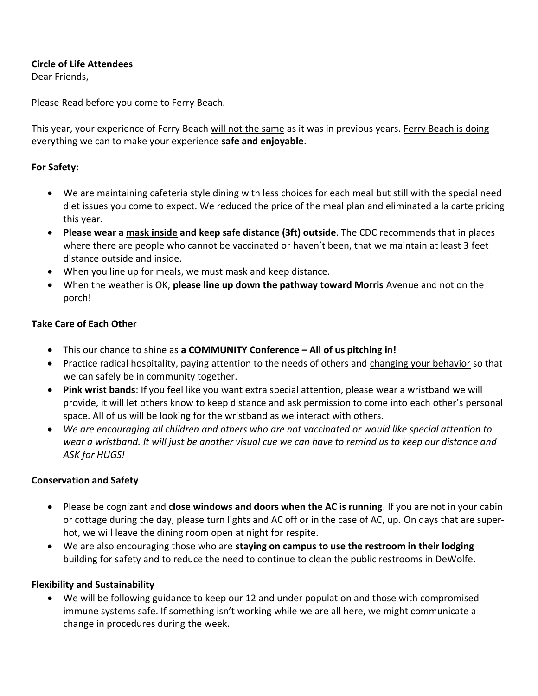### **Circle of Life Attendees**

Dear Friends,

Please Read before you come to Ferry Beach.

This year, your experience of Ferry Beach will not the same as it was in previous years. Ferry Beach is doing everything we can to make your experience **safe and enjoyable**.

### **For Safety:**

- We are maintaining cafeteria style dining with less choices for each meal but still with the special need diet issues you come to expect. We reduced the price of the meal plan and eliminated a la carte pricing this year.
- **Please wear a mask inside and keep safe distance (3ft) outside**. The CDC recommends that in places where there are people who cannot be vaccinated or haven't been, that we maintain at least 3 feet distance outside and inside.
- When you line up for meals, we must mask and keep distance.
- When the weather is OK, **please line up down the pathway toward Morris** Avenue and not on the porch!

### **Take Care of Each Other**

- This our chance to shine as **a COMMUNITY Conference – All of us pitching in!**
- Practice radical hospitality, paying attention to the needs of others and changing your behavior so that we can safely be in community together.
- **Pink wrist bands**: If you feel like you want extra special attention, please wear a wristband we will provide, it will let others know to keep distance and ask permission to come into each other's personal space. All of us will be looking for the wristband as we interact with others.
- *We are encouraging all children and others who are not vaccinated or would like special attention to wear a wristband. It will just be another visual cue we can have to remind us to keep our distance and ASK for HUGS!*

#### **Conservation and Safety**

- Please be cognizant and **close windows and doors when the AC is running**. If you are not in your cabin or cottage during the day, please turn lights and AC off or in the case of AC, up. On days that are superhot, we will leave the dining room open at night for respite.
- We are also encouraging those who are **staying on campus to use the restroom in their lodging** building for safety and to reduce the need to continue to clean the public restrooms in DeWolfe.

#### **Flexibility and Sustainability**

• We will be following guidance to keep our 12 and under population and those with compromised immune systems safe. If something isn't working while we are all here, we might communicate a change in procedures during the week.